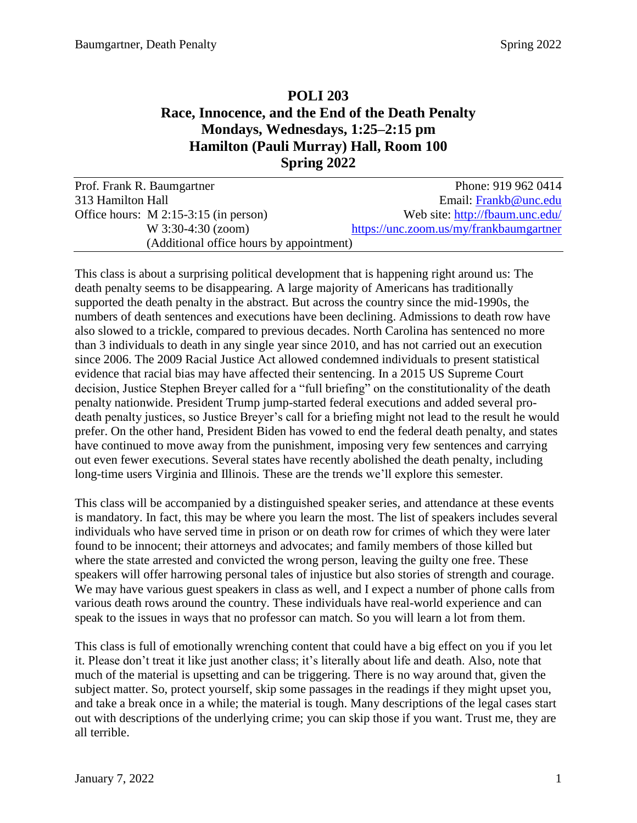# **POLI 203 Race, Innocence, and the End of the Death Penalty Mondays, Wednesdays, 1:25–2:15 pm Hamilton (Pauli Murray) Hall, Room 100 Spring 2022**

| Prof. Frank R. Baumgartner               | Phone: 919 962 0414                     |
|------------------------------------------|-----------------------------------------|
| 313 Hamilton Hall                        | Email: Frankb@unc.edu                   |
| Office hours: $M$ 2:15-3:15 (in person)  | Web site: http://fbaum.unc.edu/         |
| W 3:30-4:30 (zoom)                       | https://unc.zoom.us/my/frankbaumgartner |
| (Additional office hours by appointment) |                                         |

This class is about a surprising political development that is happening right around us: The death penalty seems to be disappearing. A large majority of Americans has traditionally supported the death penalty in the abstract. But across the country since the mid-1990s, the numbers of death sentences and executions have been declining. Admissions to death row have also slowed to a trickle, compared to previous decades. North Carolina has sentenced no more than 3 individuals to death in any single year since 2010, and has not carried out an execution since 2006. The 2009 Racial Justice Act allowed condemned individuals to present statistical evidence that racial bias may have affected their sentencing. In a 2015 US Supreme Court decision, Justice Stephen Breyer called for a "full briefing" on the constitutionality of the death penalty nationwide. President Trump jump-started federal executions and added several prodeath penalty justices, so Justice Breyer's call for a briefing might not lead to the result he would prefer. On the other hand, President Biden has vowed to end the federal death penalty, and states have continued to move away from the punishment, imposing very few sentences and carrying out even fewer executions. Several states have recently abolished the death penalty, including long-time users Virginia and Illinois. These are the trends we'll explore this semester.

This class will be accompanied by a distinguished speaker series, and attendance at these events is mandatory. In fact, this may be where you learn the most. The list of speakers includes several individuals who have served time in prison or on death row for crimes of which they were later found to be innocent; their attorneys and advocates; and family members of those killed but where the state arrested and convicted the wrong person, leaving the guilty one free. These speakers will offer harrowing personal tales of injustice but also stories of strength and courage. We may have various guest speakers in class as well, and I expect a number of phone calls from various death rows around the country. These individuals have real-world experience and can speak to the issues in ways that no professor can match. So you will learn a lot from them.

This class is full of emotionally wrenching content that could have a big effect on you if you let it. Please don't treat it like just another class; it's literally about life and death. Also, note that much of the material is upsetting and can be triggering. There is no way around that, given the subject matter. So, protect yourself, skip some passages in the readings if they might upset you, and take a break once in a while; the material is tough. Many descriptions of the legal cases start out with descriptions of the underlying crime; you can skip those if you want. Trust me, they are all terrible.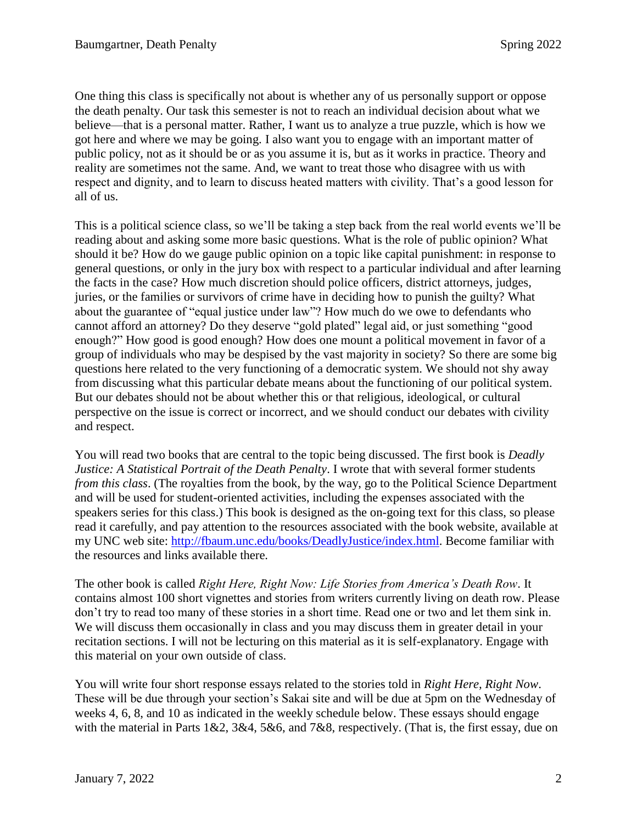One thing this class is specifically not about is whether any of us personally support or oppose the death penalty. Our task this semester is not to reach an individual decision about what we believe—that is a personal matter. Rather, I want us to analyze a true puzzle, which is how we got here and where we may be going. I also want you to engage with an important matter of public policy, not as it should be or as you assume it is, but as it works in practice. Theory and reality are sometimes not the same. And, we want to treat those who disagree with us with respect and dignity, and to learn to discuss heated matters with civility. That's a good lesson for all of us.

This is a political science class, so we'll be taking a step back from the real world events we'll be reading about and asking some more basic questions. What is the role of public opinion? What should it be? How do we gauge public opinion on a topic like capital punishment: in response to general questions, or only in the jury box with respect to a particular individual and after learning the facts in the case? How much discretion should police officers, district attorneys, judges, juries, or the families or survivors of crime have in deciding how to punish the guilty? What about the guarantee of "equal justice under law"? How much do we owe to defendants who cannot afford an attorney? Do they deserve "gold plated" legal aid, or just something "good enough?" How good is good enough? How does one mount a political movement in favor of a group of individuals who may be despised by the vast majority in society? So there are some big questions here related to the very functioning of a democratic system. We should not shy away from discussing what this particular debate means about the functioning of our political system. But our debates should not be about whether this or that religious, ideological, or cultural perspective on the issue is correct or incorrect, and we should conduct our debates with civility and respect.

You will read two books that are central to the topic being discussed. The first book is *Deadly Justice: A Statistical Portrait of the Death Penalty*. I wrote that with several former students *from this class*. (The royalties from the book, by the way, go to the Political Science Department and will be used for student-oriented activities, including the expenses associated with the speakers series for this class.) This book is designed as the on-going text for this class, so please read it carefully, and pay attention to the resources associated with the book website, available at my UNC web site: [http://fbaum.unc.edu/books/DeadlyJustice/index.html.](http://fbaum.unc.edu/books/DeadlyJustice/index.html) Become familiar with the resources and links available there.

The other book is called *Right Here, Right Now: Life Stories from America's Death Row*. It contains almost 100 short vignettes and stories from writers currently living on death row. Please don't try to read too many of these stories in a short time. Read one or two and let them sink in. We will discuss them occasionally in class and you may discuss them in greater detail in your recitation sections. I will not be lecturing on this material as it is self-explanatory. Engage with this material on your own outside of class.

You will write four short response essays related to the stories told in *Right Here, Right Now*. These will be due through your section's Sakai site and will be due at 5pm on the Wednesday of weeks 4, 6, 8, and 10 as indicated in the weekly schedule below. These essays should engage with the material in Parts 1&2, 3&4, 5&6, and 7&8, respectively. (That is, the first essay, due on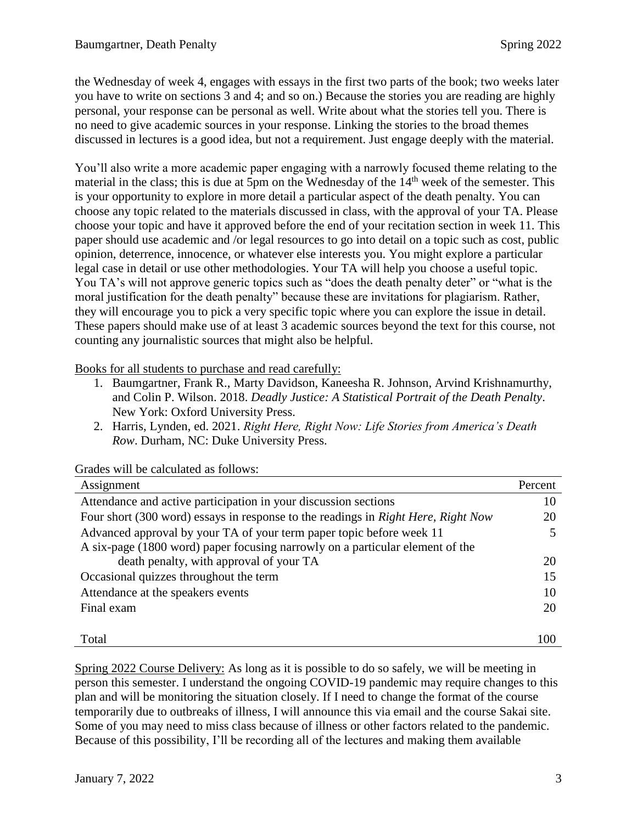the Wednesday of week 4, engages with essays in the first two parts of the book; two weeks later you have to write on sections 3 and 4; and so on.) Because the stories you are reading are highly personal, your response can be personal as well. Write about what the stories tell you. There is no need to give academic sources in your response. Linking the stories to the broad themes discussed in lectures is a good idea, but not a requirement. Just engage deeply with the material.

You'll also write a more academic paper engaging with a narrowly focused theme relating to the material in the class; this is due at 5pm on the Wednesday of the 14<sup>th</sup> week of the semester. This is your opportunity to explore in more detail a particular aspect of the death penalty. You can choose any topic related to the materials discussed in class, with the approval of your TA. Please choose your topic and have it approved before the end of your recitation section in week 11. This paper should use academic and /or legal resources to go into detail on a topic such as cost, public opinion, deterrence, innocence, or whatever else interests you. You might explore a particular legal case in detail or use other methodologies. Your TA will help you choose a useful topic. You TA's will not approve generic topics such as "does the death penalty deter" or "what is the moral justification for the death penalty" because these are invitations for plagiarism. Rather, they will encourage you to pick a very specific topic where you can explore the issue in detail. These papers should make use of at least 3 academic sources beyond the text for this course, not counting any journalistic sources that might also be helpful.

Books for all students to purchase and read carefully:

- 1. Baumgartner, Frank R., Marty Davidson, Kaneesha R. Johnson, Arvind Krishnamurthy, and Colin P. Wilson. 2018. *Deadly Justice: A Statistical Portrait of the Death Penalty*. New York: Oxford University Press.
- 2. Harris, Lynden, ed. 2021. *Right Here, Right Now: Life Stories from America's Death Row*. Durham, NC: Duke University Press.

| Assignment                                                                        | Percent |
|-----------------------------------------------------------------------------------|---------|
| Attendance and active participation in your discussion sections                   | 10      |
| Four short (300 word) essays in response to the readings in Right Here, Right Now | 20      |
| Advanced approval by your TA of your term paper topic before week 11              |         |
| A six-page (1800 word) paper focusing narrowly on a particular element of the     |         |
| death penalty, with approval of your TA                                           | 20      |
| Occasional quizzes throughout the term                                            | 15      |
| Attendance at the speakers events                                                 | 10      |
| Final exam                                                                        | 20      |
|                                                                                   |         |
| Total                                                                             |         |

Grades will be calculated as follows:

Spring 2022 Course Delivery: As long as it is possible to do so safely, we will be meeting in person this semester. I understand the ongoing COVID-19 pandemic may require changes to this plan and will be monitoring the situation closely. If I need to change the format of the course temporarily due to outbreaks of illness, I will announce this via email and the course Sakai site. Some of you may need to miss class because of illness or other factors related to the pandemic. Because of this possibility, I'll be recording all of the lectures and making them available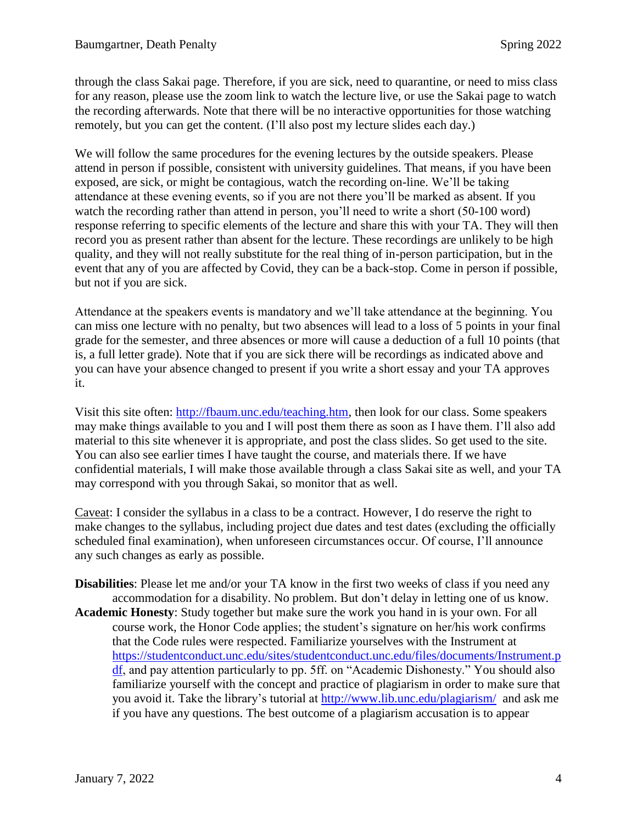through the class Sakai page. Therefore, if you are sick, need to quarantine, or need to miss class for any reason, please use the zoom link to watch the lecture live, or use the Sakai page to watch the recording afterwards. Note that there will be no interactive opportunities for those watching remotely, but you can get the content. (I'll also post my lecture slides each day.)

We will follow the same procedures for the evening lectures by the outside speakers. Please attend in person if possible, consistent with university guidelines. That means, if you have been exposed, are sick, or might be contagious, watch the recording on-line. We'll be taking attendance at these evening events, so if you are not there you'll be marked as absent. If you watch the recording rather than attend in person, you'll need to write a short (50-100 word) response referring to specific elements of the lecture and share this with your TA. They will then record you as present rather than absent for the lecture. These recordings are unlikely to be high quality, and they will not really substitute for the real thing of in-person participation, but in the event that any of you are affected by Covid, they can be a back-stop. Come in person if possible, but not if you are sick.

Attendance at the speakers events is mandatory and we'll take attendance at the beginning. You can miss one lecture with no penalty, but two absences will lead to a loss of 5 points in your final grade for the semester, and three absences or more will cause a deduction of a full 10 points (that is, a full letter grade). Note that if you are sick there will be recordings as indicated above and you can have your absence changed to present if you write a short essay and your TA approves it.

Visit this site often: [http://fbaum.unc.edu/teaching.htm,](http://fbaum.unc.edu/teaching.htm) then look for our class. Some speakers may make things available to you and I will post them there as soon as I have them. I'll also add material to this site whenever it is appropriate, and post the class slides. So get used to the site. You can also see earlier times I have taught the course, and materials there. If we have confidential materials, I will make those available through a class Sakai site as well, and your TA may correspond with you through Sakai, so monitor that as well.

Caveat: I consider the syllabus in a class to be a contract. However, I do reserve the right to make changes to the syllabus, including project due dates and test dates (excluding the officially scheduled final examination), when unforeseen circumstances occur. Of course, I'll announce any such changes as early as possible.

**Disabilities**: Please let me and/or your TA know in the first two weeks of class if you need any accommodation for a disability. No problem. But don't delay in letting one of us know. **Academic Honesty**: Study together but make sure the work you hand in is your own. For all course work, the Honor Code applies; the student's signature on her/his work confirms that the Code rules were respected. Familiarize yourselves with the Instrument at [https://studentconduct.unc.edu/sites/studentconduct.unc.edu/files/documents/Instrument.p](https://studentconduct.unc.edu/sites/studentconduct.unc.edu/files/documents/Instrument.pdf) [df,](https://studentconduct.unc.edu/sites/studentconduct.unc.edu/files/documents/Instrument.pdf) and pay attention particularly to pp. 5ff. on "Academic Dishonesty." You should also familiarize yourself with the concept and practice of plagiarism in order to make sure that you avoid it. Take the library's tutorial at <http://www.lib.unc.edu/plagiarism/> and ask me if you have any questions. The best outcome of a plagiarism accusation is to appear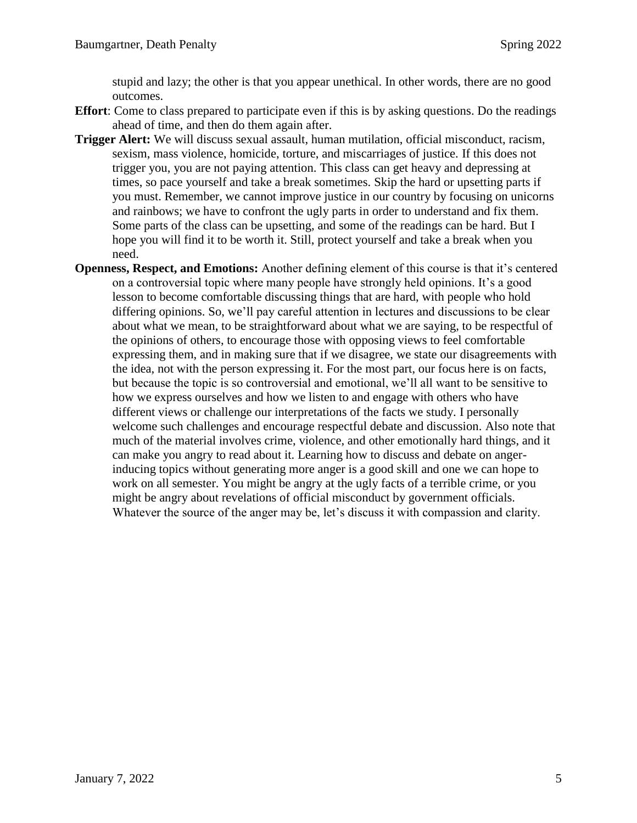stupid and lazy; the other is that you appear unethical. In other words, there are no good outcomes.

- **Effort**: Come to class prepared to participate even if this is by asking questions. Do the readings ahead of time, and then do them again after.
- **Trigger Alert:** We will discuss sexual assault, human mutilation, official misconduct, racism, sexism, mass violence, homicide, torture, and miscarriages of justice. If this does not trigger you, you are not paying attention. This class can get heavy and depressing at times, so pace yourself and take a break sometimes. Skip the hard or upsetting parts if you must. Remember, we cannot improve justice in our country by focusing on unicorns and rainbows; we have to confront the ugly parts in order to understand and fix them. Some parts of the class can be upsetting, and some of the readings can be hard. But I hope you will find it to be worth it. Still, protect yourself and take a break when you need.
- **Openness, Respect, and Emotions:** Another defining element of this course is that it's centered on a controversial topic where many people have strongly held opinions. It's a good lesson to become comfortable discussing things that are hard, with people who hold differing opinions. So, we'll pay careful attention in lectures and discussions to be clear about what we mean, to be straightforward about what we are saying, to be respectful of the opinions of others, to encourage those with opposing views to feel comfortable expressing them, and in making sure that if we disagree, we state our disagreements with the idea, not with the person expressing it. For the most part, our focus here is on facts, but because the topic is so controversial and emotional, we'll all want to be sensitive to how we express ourselves and how we listen to and engage with others who have different views or challenge our interpretations of the facts we study. I personally welcome such challenges and encourage respectful debate and discussion. Also note that much of the material involves crime, violence, and other emotionally hard things, and it can make you angry to read about it. Learning how to discuss and debate on angerinducing topics without generating more anger is a good skill and one we can hope to work on all semester. You might be angry at the ugly facts of a terrible crime, or you might be angry about revelations of official misconduct by government officials. Whatever the source of the anger may be, let's discuss it with compassion and clarity.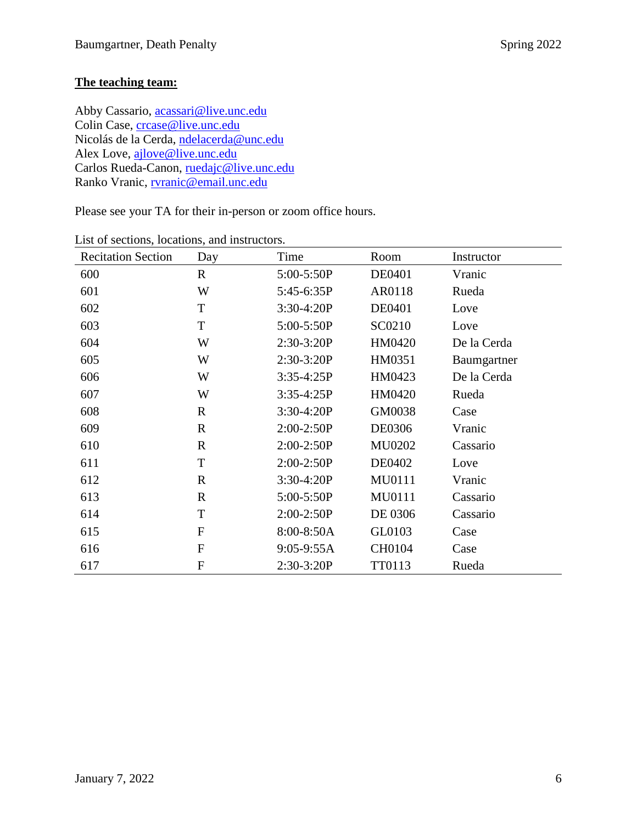## **The teaching team:**

Abby Cassario, [acassari@live.unc.edu](mailto:acassari@live.unc.edu) Colin Case, [crcase@live.unc.edu](mailto:crcase@live.unc.edu) Nicolás de la Cerda, [ndelacerda@unc.edu](mailto:ndelacerda@unc.edu) Alex Love, [ajlove@live.unc.edu](mailto:ajlove@live.unc.edu) Carlos Rueda-Canon, [ruedajc@live.unc.edu](mailto:ruedajc@live.unc.edu) Ranko Vranic, [rvranic@email.unc.edu](mailto:rvranic@email.unc.edu)

Please see your TA for their in-person or zoom office hours.

| <b>Recitation Section</b> | Day              | Time         | Room          | Instructor  |
|---------------------------|------------------|--------------|---------------|-------------|
| 600                       | $\mathbf{R}$     | 5:00-5:50P   | DE0401        | Vranic      |
| 601                       | W                | 5:45-6:35P   | AR0118        | Rueda       |
| 602                       | T                | $3:30-4:20P$ | <b>DE0401</b> | Love        |
| 603                       | T                | 5:00-5:50P   | SC0210        | Love        |
| 604                       | W                | 2:30-3:20P   | HM0420        | De la Cerda |
| 605                       | W                | $2:30-3:20P$ | HM0351        | Baumgartner |
| 606                       | W                | $3:35-4:25P$ | HM0423        | De la Cerda |
| 607                       | W                | $3:35-4:25P$ | HM0420        | Rueda       |
| 608                       | $\mathbf{R}$     | $3:30-4:20P$ | GM0038        | Case        |
| 609                       | $\mathbf R$      | 2:00-2:50P   | DE0306        | Vranic      |
| 610                       | $\mathbf{R}$     | $2:00-2:50P$ | <b>MU0202</b> | Cassario    |
| 611                       | T                | $2:00-2:50P$ | DE0402        | Love        |
| 612                       | $\mathbf{R}$     | $3:30-4:20P$ | MU0111        | Vranic      |
| 613                       | $\mathbf{R}$     | 5:00-5:50P   | MU0111        | Cassario    |
| 614                       | T                | $2:00-2:50P$ | DE 0306       | Cassario    |
| 615                       | $\mathbf{F}$     | 8:00-8:50A   | GL0103        | Case        |
| 616                       | $\mathbf{F}$     | 9:05-9:55A   | CH0104        | Case        |
| 617                       | $\boldsymbol{F}$ | 2:30-3:20P   | TT0113        | Rueda       |

List of sections, locations, and instructors.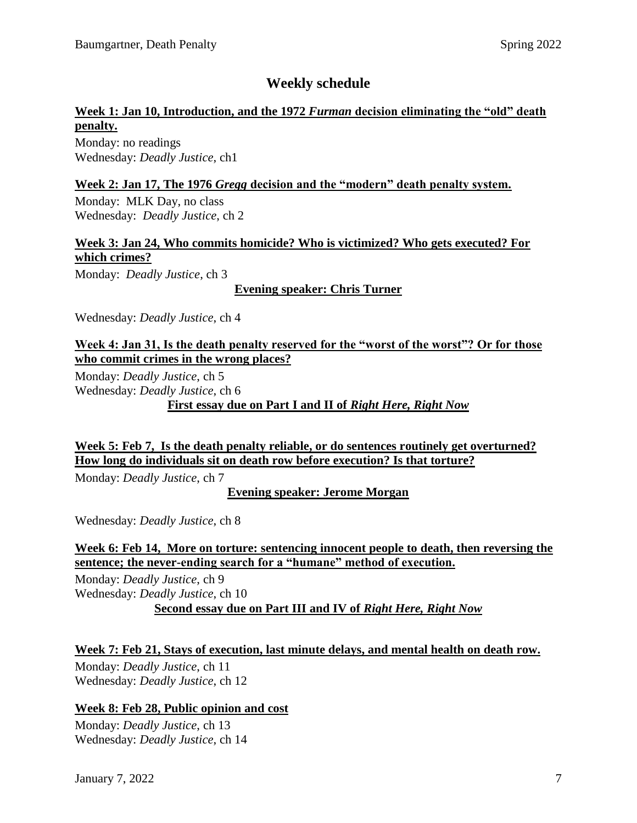# **Weekly schedule**

## **Week 1: Jan 10, Introduction, and the 1972** *Furman* **decision eliminating the "old" death penalty.**

Monday: no readings Wednesday: *Deadly Justice*, ch1

### **Week 2: Jan 17, The 1976** *Gregg* **decision and the "modern" death penalty system.**

Monday: MLK Day, no class Wednesday: *Deadly Justice*, ch 2

## **Week 3: Jan 24, Who commits homicide? Who is victimized? Who gets executed? For which crimes?**

Monday: *Deadly Justice*, ch 3

**Evening speaker: Chris Turner**

Wednesday: *Deadly Justice*, ch 4

## **Week 4: Jan 31, Is the death penalty reserved for the "worst of the worst"? Or for those who commit crimes in the wrong places?**

Monday: *Deadly Justice*, ch 5 Wednesday: *Deadly Justice*, ch 6 **First essay due on Part I and II of** *Right Here, Right Now*

**Week 5: Feb 7, Is the death penalty reliable, or do sentences routinely get overturned? How long do individuals sit on death row before execution? Is that torture?**

Monday: *Deadly Justice*, ch 7

**Evening speaker: Jerome Morgan**

Wednesday: *Deadly Justice*, ch 8

## **Week 6: Feb 14, More on torture: sentencing innocent people to death, then reversing the sentence; the never-ending search for a "humane" method of execution.**

Monday: *Deadly Justice*, ch 9 Wednesday: *Deadly Justice*, ch 10 **Second essay due on Part III and IV of** *Right Here, Right Now*

## **Week 7: Feb 21, Stays of execution, last minute delays, and mental health on death row.**

Monday: *Deadly Justice*, ch 11 Wednesday: *Deadly Justice*, ch 12

## **Week 8: Feb 28, Public opinion and cost**

Monday: *Deadly Justice*, ch 13 Wednesday: *Deadly Justice*, ch 14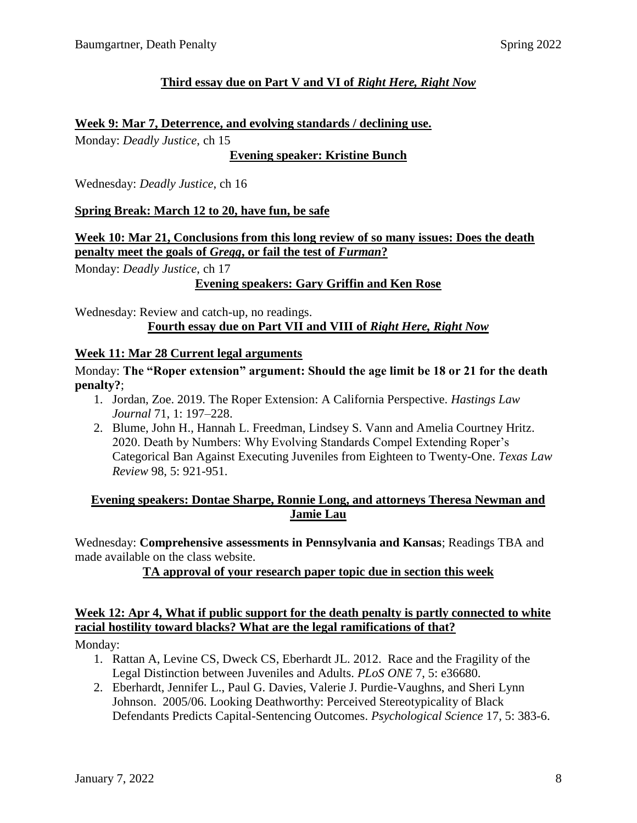## **Third essay due on Part V and VI of** *Right Here, Right Now*

### **Week 9: Mar 7, Deterrence, and evolving standards / declining use.**

Monday: *Deadly Justice*, ch 15

**Evening speaker: Kristine Bunch**

Wednesday: *Deadly Justice*, ch 16

### **Spring Break: March 12 to 20, have fun, be safe**

## **Week 10: Mar 21, Conclusions from this long review of so many issues: Does the death penalty meet the goals of** *Gregg***, or fail the test of** *Furman***?**

Monday: *Deadly Justice*, ch 17

## **Evening speakers: Gary Griffin and Ken Rose**

Wednesday: Review and catch-up, no readings. **Fourth essay due on Part VII and VIII of** *Right Here, Right Now*

#### **Week 11: Mar 28 Current legal arguments**

#### Monday: **The "Roper extension" argument: Should the age limit be 18 or 21 for the death penalty?**;

- 1. Jordan, Zoe. 2019. The Roper Extension: A California Perspective. *Hastings Law Journal* 71, 1: 197–228.
- 2. Blume, John H., Hannah L. Freedman, Lindsey S. Vann and Amelia Courtney Hritz. 2020. Death by Numbers: Why Evolving Standards Compel Extending Roper's Categorical Ban Against Executing Juveniles from Eighteen to Twenty-One. *Texas Law Review* 98, 5: 921-951.

## **Evening speakers: Dontae Sharpe, Ronnie Long, and attorneys Theresa Newman and Jamie Lau**

Wednesday: **Comprehensive assessments in Pennsylvania and Kansas**; Readings TBA and made available on the class website.

**TA approval of your research paper topic due in section this week**

## **Week 12: Apr 4, What if public support for the death penalty is partly connected to white racial hostility toward blacks? What are the legal ramifications of that?**

Monday:

- 1. Rattan A, Levine CS, Dweck CS, Eberhardt JL. 2012. Race and the Fragility of the Legal Distinction between Juveniles and Adults. *PLoS ONE* 7, 5: e36680.
- 2. Eberhardt, Jennifer L., Paul G. Davies, Valerie J. Purdie-Vaughns, and Sheri Lynn Johnson. 2005/06. Looking Deathworthy: Perceived Stereotypicality of Black Defendants Predicts Capital-Sentencing Outcomes. *Psychological Science* 17, 5: 383-6.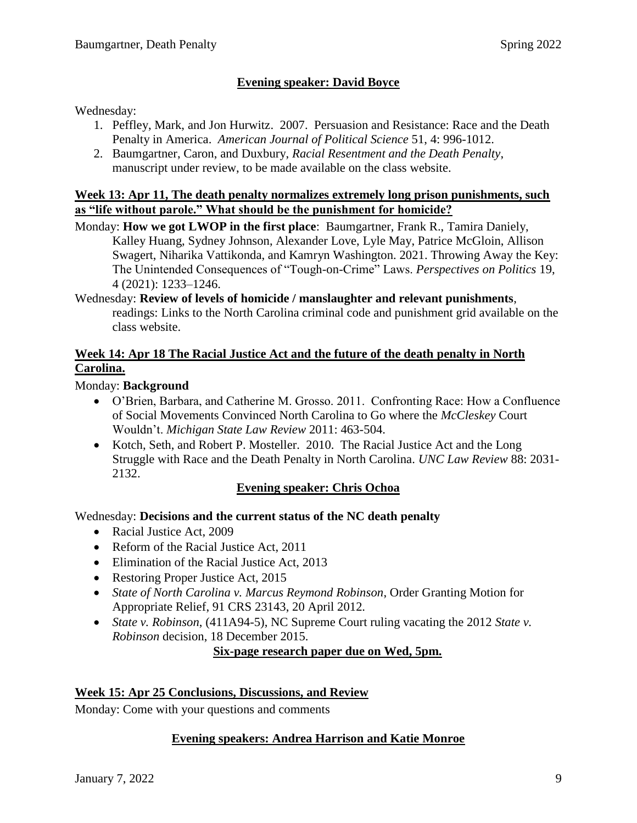## **Evening speaker: David Boyce**

#### Wednesday:

- 1. Peffley, Mark, and Jon Hurwitz. 2007. Persuasion and Resistance: Race and the Death Penalty in America. *American Journal of Political Science* 51, 4: 996-1012.
- 2. Baumgartner, Caron, and Duxbury, *Racial Resentment and the Death Penalty*, manuscript under review, to be made available on the class website.

#### **Week 13: Apr 11, The death penalty normalizes extremely long prison punishments, such as "life without parole." What should be the punishment for homicide?**

- Monday: **How we got LWOP in the first place**: Baumgartner, Frank R., Tamira Daniely, Kalley Huang, Sydney Johnson, Alexander Love, Lyle May, Patrice McGloin, Allison Swagert, Niharika Vattikonda, and Kamryn Washington. 2021. Throwing Away the Key: The Unintended Consequences of "Tough-on-Crime" Laws. *Perspectives on Politics* 19, 4 (2021): 1233–1246.
- Wednesday: **Review of levels of homicide / manslaughter and relevant punishments**, readings: Links to the North Carolina criminal code and punishment grid available on the class website.

## **Week 14: Apr 18 The Racial Justice Act and the future of the death penalty in North Carolina.**

#### Monday: **Background**

- O'Brien, Barbara, and Catherine M. Grosso. 2011. Confronting Race: How a Confluence of Social Movements Convinced North Carolina to Go where the *McCleskey* Court Wouldn't. *Michigan State Law Review* 2011: 463-504.
- Kotch, Seth, and Robert P. Mosteller. 2010. The Racial Justice Act and the Long Struggle with Race and the Death Penalty in North Carolina. *UNC Law Review* 88: 2031- 2132.

## **Evening speaker: Chris Ochoa**

## Wednesday: **Decisions and the current status of the NC death penalty**

- Racial Justice Act, 2009
- Reform of the Racial Justice Act, 2011
- Elimination of the Racial Justice Act, 2013
- Restoring Proper Justice Act, 2015
- *State of North Carolina v. Marcus Reymond Robinson*, Order Granting Motion for Appropriate Relief, 91 CRS 23143, 20 April 2012.
- *State v. Robinson*, (411A94-5), NC Supreme Court ruling vacating the 2012 *State v. Robinson* decision, 18 December 2015.

#### **Six-page research paper due on Wed, 5pm.**

#### **Week 15: Apr 25 Conclusions, Discussions, and Review**

Monday: Come with your questions and comments

#### **Evening speakers: Andrea Harrison and Katie Monroe**